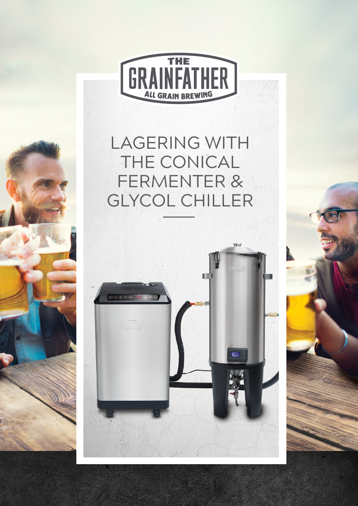

# LAGERING WITH THE CONICAL FERMENTER & GLYCOL CHILLER



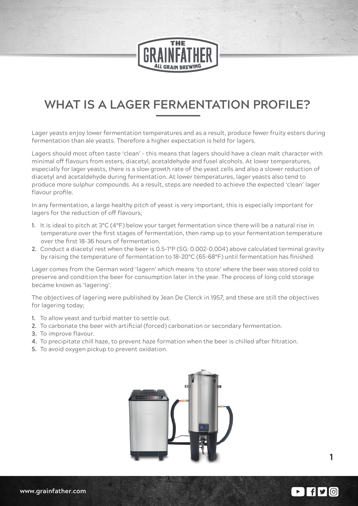

## **WHAT IS A LAGER FERMENTATION PROFILE?**

Lager yeasts enjoy lower fermentation temperatures and as a result, produce fewer fruity esters during fermentation than ale yeasts. Therefore a higher expectation is held for lagers.

Lagers should most often taste 'clean' - this means that lagers should have a clean malt character with minimal off flavours from esters, diacetyl, acetaldehyde and fusel alcohols. At lower temperatures, especially for lager yeasts, there is a slow growth rate of the yeast cells and also a slower reduction of diacetyl and acetaldehyde during fermentation. At lower temperatures, lager yeasts also tend to produce more sulphur compounds. As a result, steps are needed to achieve the expected 'clean' lager flavour profile.

In any fermentation, a large healthy pitch of yeast is very important, this is especially important for lagers for the reduction of off flavours;

- **1.** It is ideal to pitch at 3°C (4°F) below your target fermentation since there will be a natural rise in temperature over the first stages of fermentation, then ramp up to your fermentation temperature over the first 18-36 hours of fermentation.
- **2.** Conduct a diacetyl rest when the beer is 0.5-1°P (SG: 0.002-0.004) above calculated terminal gravity by raising the temperature of fermentation to 18-20°C (65-68°F) until fermentation has finished.

Lager comes from the German word 'lagern' which means 'to store' where the beer was stored cold to preserve and condition the beer for consumption later in the year. The process of long cold storage became known as 'lagering'.

The objectives of lagering were published by Jean De Clerck in 1957, and these are still the objectives for lagering today;

- **1.** To allow yeast and turbid matter to settle out.
- **2.** To carbonate the beer with artificial (forced) carbonation or secondary fermentation.
- **3.** To improve flavour.
- **4.** To precipitate chill haze, to prevent haze formation when the beer is chilled after filtration.
- **5.** To avoid oxygen pickup to prevent oxidation.



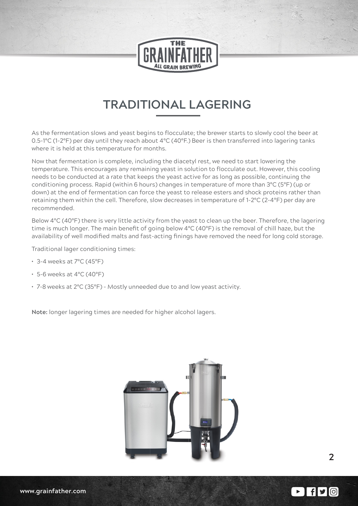

### **TRADITIONAL LAGERING**

As the fermentation slows and yeast begins to flocculate; the brewer starts to slowly cool the beer at 0.5-1°C (1-2°F) per day until they reach about 4°C (40°F.) Beer is then transferred into lagering tanks where it is held at this temperature for months.

Now that fermentation is complete, including the diacetyl rest, we need to start lowering the temperature. This encourages any remaining yeast in solution to flocculate out. However, this cooling needs to be conducted at a rate that keeps the yeast active for as long as possible, continuing the conditioning process. Rapid (within 6 hours) changes in temperature of more than 3°C (5°F) (up or down) at the end of fermentation can force the yeast to release esters and shock proteins rather than retaining them within the cell. Therefore, slow decreases in temperature of 1-2°C (2-4°F) per day are recommended.

Below 4°C (40°F) there is very little activity from the yeast to clean up the beer. Therefore, the lagering time is much longer. The main benefit of going below 4°C (40°F) is the removal of chill haze, but the availability of well modified malts and fast-acting finings have removed the need for long cold storage.

Traditional lager conditioning times:

- **•** 3-4 weeks at 7°C (45°F)
- **•** 5-6 weeks at 4°C (40°F)
- **•** 7-8 weeks at 2°C (35°F) Mostly unneeded due to and low yeast activity.

**Note:** longer lagering times are needed for higher alcohol lagers.

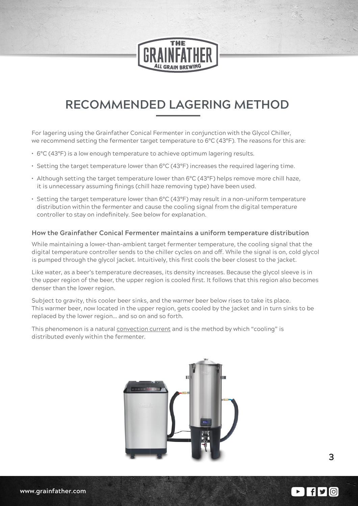

### **RECOMMENDED LAGERING METHOD**

For lagering using the Grainfather Conical Fermenter in conjunction with the Glycol Chiller, we recommend setting the fermenter target temperature to 6°C (43°F). The reasons for this are:

- **•** 6°C (43°F) is a low enough temperature to achieve optimum lagering results.
- **•** Setting the target temperature lower than 6°C (43°F) increases the required lagering time.
- **•** Although setting the target temperature lower than 6°C (43°F) helps remove more chill haze, it is unnecessary assuming finings (chill haze removing type) have been used.
- **•** Setting the target temperature lower than 6°C (43°F) may result in a non-uniform temperature distribution within the fermenter and cause the cooling signal from the digital temperature controller to stay on indefinitely. See below for explanation.

#### **How the Grainfather Conical Fermenter maintains a uniform temperature distribution**

While maintaining a lower-than-ambient target fermenter temperature, the cooling signal that the digital temperature controller sends to the chiller cycles on and off. While the signal is on, cold glycol is pumped through the glycol jacket. Intuitively, this first cools the beer closest to the jacket.

Like water, as a beer's temperature decreases, its density increases. Because the glycol sleeve is in the upper region of the beer, the upper region is cooled first. It follows that this region also becomes denser than the lower region.

Subject to gravity, this cooler beer sinks, and the warmer beer below rises to take its place. This warmer beer, now located in the upper region, gets cooled by the jacket and in turn sinks to be replaced by the lower region… and so on and so forth.

This phenomenon is a natural convection current and is the method by which "cooling" is distributed evenly within the fermenter.



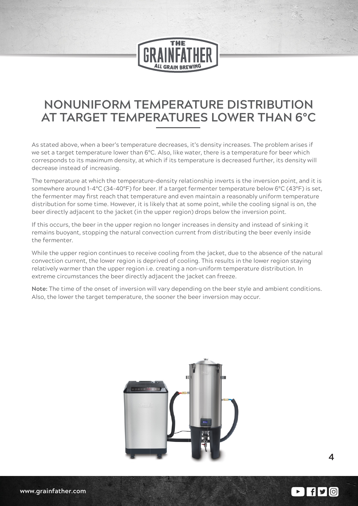

### **NONUNIFORM TEMPERATURE DISTRIBUTION AT TARGET TEMPERATURES LOWER THAN 6°C**

As stated above, when a beer's temperature decreases, it's density increases. The problem arises if we set a target temperature lower than 6°C. Also, like water, there is a temperature for beer which corresponds to its maximum density, at which if its temperature is decreased further, its density will decrease instead of increasing.

The temperature at which the temperature-density relationship inverts is the inversion point, and it is somewhere around 1-4°C (34-40°F) for beer. If a target fermenter temperature below 6°C (43°F) is set, the fermenter may first reach that temperature and even maintain a reasonably uniform temperature distribution for some time. However, it is likely that at some point, while the cooling signal is on, the beer directly adjacent to the jacket (in the upper region) drops below the inversion point.

If this occurs, the beer in the upper region no longer increases in density and instead of sinking it remains buoyant, stopping the natural convection current from distributing the beer evenly inside the fermenter.

While the upper region continues to receive cooling from the jacket, due to the absence of the natural convection current, the lower region is deprived of cooling. This results in the lower region staying relatively warmer than the upper region i.e. creating a non-uniform temperature distribution. In extreme circumstances the beer directly adjacent the jacket can freeze.

**Note:** The time of the onset of inversion will vary depending on the beer style and ambient conditions. Also, the lower the target temperature, the sooner the beer inversion may occur.